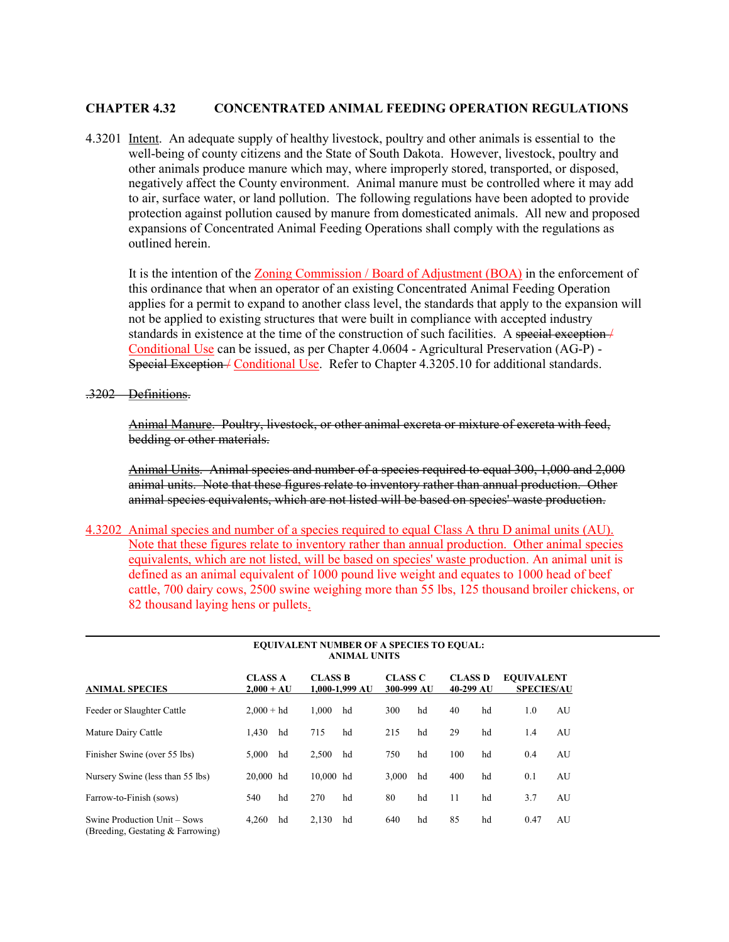## CHAPTER 4.32 CONCENTRATED ANIMAL FEEDING OPERATION REGULATIONS

4.3201 Intent. An adequate supply of healthy livestock, poultry and other animals is essential to the well-being of county citizens and the State of South Dakota. However, livestock, poultry and other animals produce manure which may, where improperly stored, transported, or disposed, negatively affect the County environment. Animal manure must be controlled where it may add to air, surface water, or land pollution. The following regulations have been adopted to provide protection against pollution caused by manure from domesticated animals. All new and proposed expansions of Concentrated Animal Feeding Operations shall comply with the regulations as outlined herein.

It is the intention of the Zoning Commission / Board of Adjustment (BOA) in the enforcement of this ordinance that when an operator of an existing Concentrated Animal Feeding Operation applies for a permit to expand to another class level, the standards that apply to the expansion will not be applied to existing structures that were built in compliance with accepted industry standards in existence at the time of the construction of such facilities. A special exception / Conditional Use can be issued, as per Chapter 4.0604 - Agricultural Preservation (AG-P) - Special Exception / Conditional Use. Refer to Chapter 4.3205.10 for additional standards.

.3202 Definitions.

Animal Manure. Poultry, livestock, or other animal excreta or mixture of excreta with feed, bedding or other materials.

Animal Units. Animal species and number of a species required to equal 300, 1,000 and 2,000 animal units. Note that these figures relate to inventory rather than annual production. Other animal species equivalents, which are not listed will be based on species' waste production.

4.3202 Animal species and number of a species required to equal Class A thru D animal units (AU). Note that these figures relate to inventory rather than annual production. Other animal species equivalents, which are not listed, will be based on species' waste production. An animal unit is defined as an animal equivalent of 1000 pound live weight and equates to 1000 head of beef cattle, 700 dairy cows, 2500 swine weighing more than 55 lbs, 125 thousand broiler chickens, or 82 thousand laying hens or pullets.

|                                                                   | <b>EQUIVALENT NUMBER OF A SPECIES TO EQUAL:</b><br><b>ANIMAL UNITS</b> |    |                                      |    |                              |    |                             |    |                                        |    |
|-------------------------------------------------------------------|------------------------------------------------------------------------|----|--------------------------------------|----|------------------------------|----|-----------------------------|----|----------------------------------------|----|
| <b>ANIMAL SPECIES</b>                                             | <b>CLASS A</b><br>$2,000 + AU$                                         |    | <b>CLASS B</b><br>$1.000 - 1.999$ AU |    | <b>CLASS C</b><br>300-999 AU |    | <b>CLASS D</b><br>40-299 AU |    | <b>EOUIVALENT</b><br><b>SPECIES/AU</b> |    |
| Feeder or Slaughter Cattle                                        | $2.000 + hd$                                                           |    | 1.000                                | hd | 300                          | hd | 40                          | hd | 1.0                                    | AU |
| Mature Dairy Cattle                                               | 1.430                                                                  | hd | 715                                  | hd | 215                          | hd | 29                          | hd | 1.4                                    | AU |
| Finisher Swine (over 55 lbs)                                      | 5.000                                                                  | hd | 2,500                                | hd | 750                          | hd | 100                         | hd | 0.4                                    | AU |
| Nursery Swine (less than 55 lbs)                                  | 20,000 hd                                                              |    | 10,000 hd                            |    | 3.000                        | hd | 400                         | hd | 0.1                                    | AU |
| Farrow-to-Finish (sows)                                           | 540                                                                    | hd | 270                                  | hd | 80                           | hd | 11                          | hd | 3.7                                    | AU |
| Swine Production Unit – Sows<br>(Breeding, Gestating & Farrowing) | 4,260                                                                  | hd | 2,130                                | hd | 640                          | hd | 85                          | hd | 0.47                                   | AU |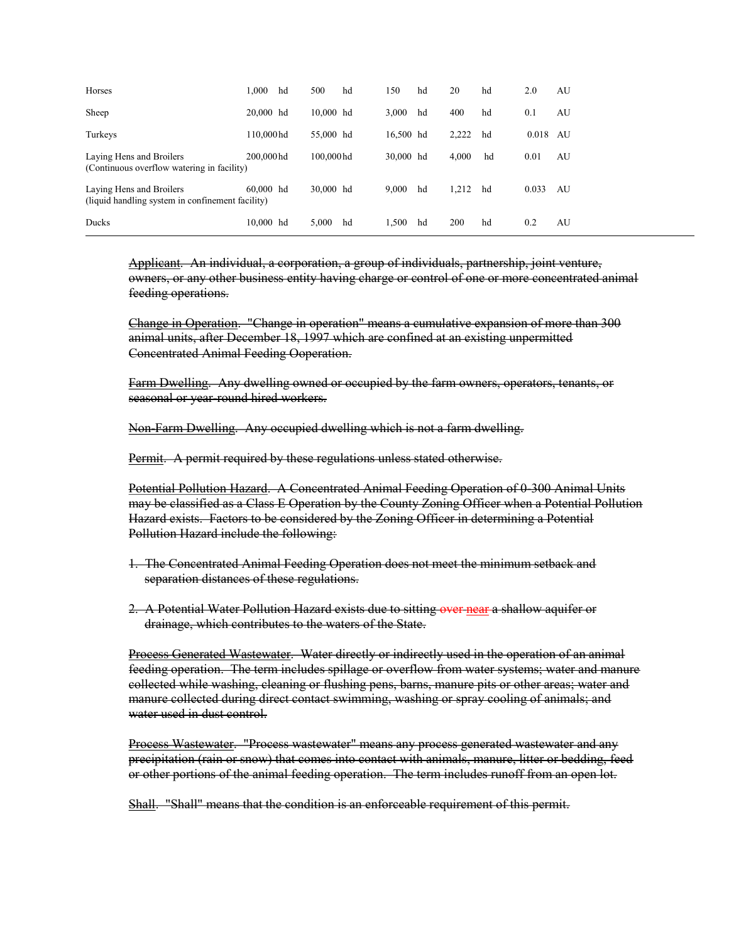| Horses                                                                       | 1.000       | hd | 500       | hd | 150       | hd | 20    | hd | 2.0   | AU |
|------------------------------------------------------------------------------|-------------|----|-----------|----|-----------|----|-------|----|-------|----|
| Sheep                                                                        | 20,000 hd   |    | 10,000 hd |    | 3.000     | hd | 400   | hd | 0.1   | AU |
| Turkeys                                                                      | 110,000hd   |    | 55,000 hd |    | 16,500 hd |    | 2.222 | hd | 0.018 | AU |
| Laying Hens and Broilers<br>(Continuous overflow watering in facility)       | 200,000hd   |    | 100,000hd |    | 30,000 hd |    | 4.000 | hd | 0.01  | AU |
| Laying Hens and Broilers<br>(liquid handling system in confinement facility) | $60,000$ hd |    | 30,000 hd |    | 9.000     | hd | 1.212 | hd | 0.033 | AU |
| Ducks                                                                        | 10,000 hd   |    | 5,000     | hd | 1.500     | hd | 200   | hd | 0.2   | AU |

Applicant. An individual, a corporation, a group of individuals, partnership, joint venture, owners, or any other business entity having charge or control of one or more concentrated animal feeding operations.

Change in Operation. "Change in operation" means a cumulative expansion of more than 300 animal units, after December 18, 1997 which are confined at an existing unpermitted Concentrated Animal Feeding Ooperation.

Farm Dwelling. Any dwelling owned or occupied by the farm owners, operators, tenants, or seasonal or year-round hired workers.

Non-Farm Dwelling. Any occupied dwelling which is not a farm dwelling.

Permit. A permit required by these regulations unless stated otherwise.

Potential Pollution Hazard. A Concentrated Animal Feeding Operation of 0-300 Animal Units may be classified as a Class E Operation by the County Zoning Officer when a Potential Pollution Hazard exists. Factors to be considered by the Zoning Officer in determining a Potential Pollution Hazard include the following:

- 1. The Concentrated Animal Feeding Operation does not meet the minimum setback and separation distances of these regulations.
- 2. A Potential Water Pollution Hazard exists due to sitting over near a shallow aquifer or drainage, which contributes to the waters of the State.

Process Generated Wastewater. Water directly or indirectly used in the operation of an animal feeding operation. The term includes spillage or overflow from water systems; water and manure collected while washing, cleaning or flushing pens, barns, manure pits or other areas; water and manure collected during direct contact swimming, washing or spray cooling of animals; and water used in dust control.

Process Wastewater. "Process wastewater" means any process generated wastewater and any precipitation (rain or snow) that comes into contact with animals, manure, litter or bedding, feed or other portions of the animal feeding operation. The term includes runoff from an open lot.

Shall. "Shall" means that the condition is an enforceable requirement of this permit.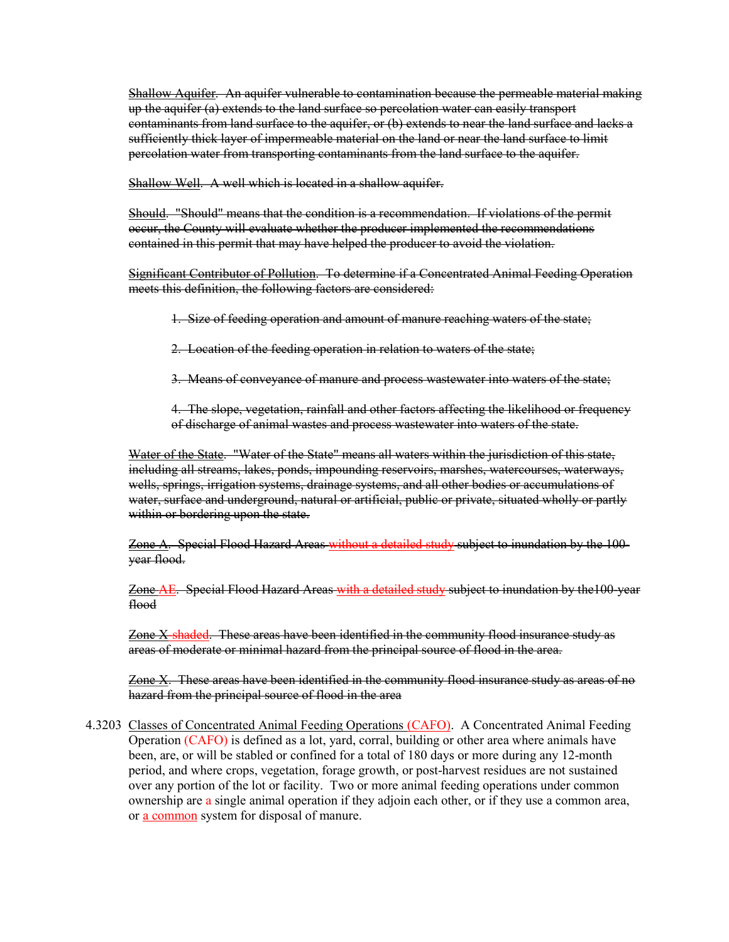Shallow Aquifer. An aquifer vulnerable to contamination because the permeable material making up the aquifer (a) extends to the land surface so percolation water can easily transport contaminants from land surface to the aquifer, or (b) extends to near the land surface and lacks a sufficiently thick layer of impermeable material on the land or near the land surface to limit percolation water from transporting contaminants from the land surface to the aquifer.

Shallow Well. A well which is located in a shallow aquifer.

Should. "Should" means that the condition is a recommendation. If violations of the permit occur, the County will evaluate whether the producer implemented the recommendations contained in this permit that may have helped the producer to avoid the violation.

Significant Contributor of Pollution. To determine if a Concentrated Animal Feeding Operation meets this definition, the following factors are considered:

1. Size of feeding operation and amount of manure reaching waters of the state;

- 2. Location of the feeding operation in relation to waters of the state;
- 3. Means of conveyance of manure and process wastewater into waters of the state;

4. The slope, vegetation, rainfall and other factors affecting the likelihood or frequency of discharge of animal wastes and process wastewater into waters of the state.

Water of the State. "Water of the State" means all waters within the jurisdiction of this state, including all streams, lakes, ponds, impounding reservoirs, marshes, watercourses, waterways, wells, springs, irrigation systems, drainage systems, and all other bodies or accumulations of water, surface and underground, natural or artificial, public or private, situated wholly or partly within or bordering upon the state.

Zone A. Special Flood Hazard Areas without a detailed study subject to inundation by the 100 year flood.

Zone AE. Special Flood Hazard Areas with a detailed study subject to inundation by the100-year flood

Zone X-shaded. These areas have been identified in the community flood insurance study as areas of moderate or minimal hazard from the principal source of flood in the area.

Zone X. These areas have been identified in the community flood insurance study as areas of no hazard from the principal source of flood in the area

4.3203 Classes of Concentrated Animal Feeding Operations (CAFO). A Concentrated Animal Feeding Operation (CAFO) is defined as a lot, yard, corral, building or other area where animals have been, are, or will be stabled or confined for a total of 180 days or more during any 12-month period, and where crops, vegetation, forage growth, or post-harvest residues are not sustained over any portion of the lot or facility. Two or more animal feeding operations under common ownership are a single animal operation if they adjoin each other, or if they use a common area, or a common system for disposal of manure.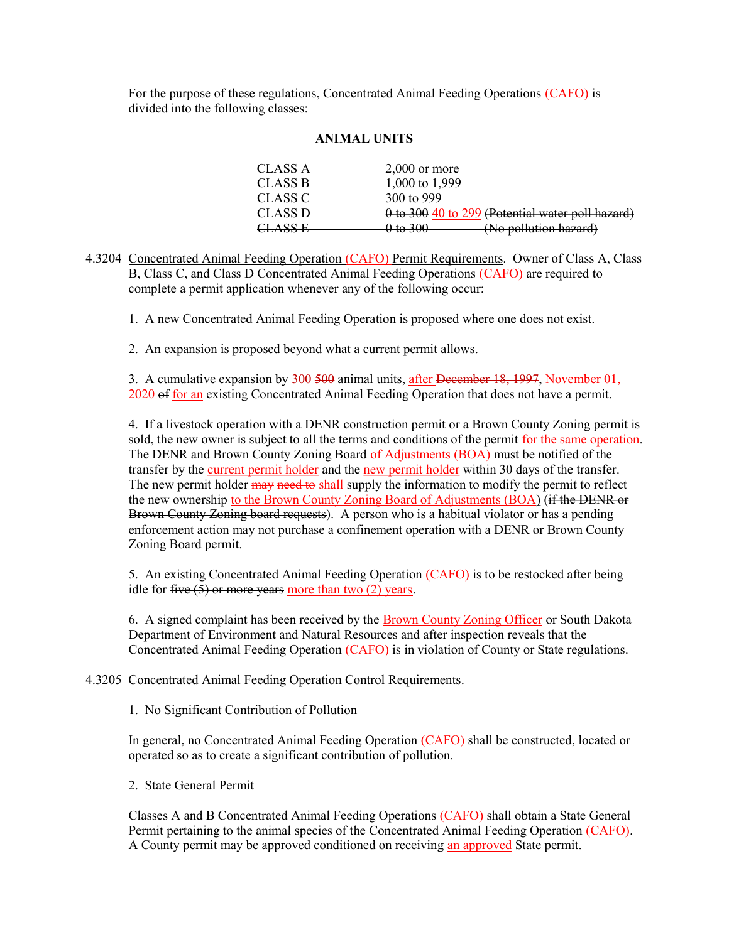For the purpose of these regulations, Concentrated Animal Feeding Operations (CAFO) is divided into the following classes:

# ANIMAL UNITS

| CLASS A                  | $2,000$ or more                                         |
|--------------------------|---------------------------------------------------------|
| CLASS B                  | 1,000 to 1,999                                          |
| CLASS C                  | 300 to 999                                              |
| CLASS D                  | $\theta$ to 300 40 to 299 (Potential water poll hazard) |
| A CC E<br><u>enynn n</u> | (No pollution hazard)<br>0 to 300                       |

4.3204 Concentrated Animal Feeding Operation (CAFO) Permit Requirements. Owner of Class A, Class B, Class C, and Class D Concentrated Animal Feeding Operations (CAFO) are required to complete a permit application whenever any of the following occur:

1. A new Concentrated Animal Feeding Operation is proposed where one does not exist.

2. An expansion is proposed beyond what a current permit allows.

3. A cumulative expansion by 300 500 animal units, after December 18, 1997, November 01, 2020 of for an existing Concentrated Animal Feeding Operation that does not have a permit.

4. If a livestock operation with a DENR construction permit or a Brown County Zoning permit is sold, the new owner is subject to all the terms and conditions of the permit for the same operation. The DENR and Brown County Zoning Board of Adjustments (BOA) must be notified of the transfer by the current permit holder and the new permit holder within 30 days of the transfer. The new permit holder may need to shall supply the information to modify the permit to reflect the new ownership to the Brown County Zoning Board of Adjustments (BOA) (if the DENR or Brown County Zoning board requests). A person who is a habitual violator or has a pending enforcement action may not purchase a confinement operation with a DENR or Brown County Zoning Board permit.

5. An existing Concentrated Animal Feeding Operation (CAFO) is to be restocked after being idle for five  $(5)$  or more years more than two  $(2)$  years.

6. A signed complaint has been received by the Brown County Zoning Officer or South Dakota Department of Environment and Natural Resources and after inspection reveals that the Concentrated Animal Feeding Operation (CAFO) is in violation of County or State regulations.

4.3205 Concentrated Animal Feeding Operation Control Requirements.

1. No Significant Contribution of Pollution

In general, no Concentrated Animal Feeding Operation (CAFO) shall be constructed, located or operated so as to create a significant contribution of pollution.

2. State General Permit

Classes A and B Concentrated Animal Feeding Operations (CAFO) shall obtain a State General Permit pertaining to the animal species of the Concentrated Animal Feeding Operation (CAFO). A County permit may be approved conditioned on receiving an approved State permit.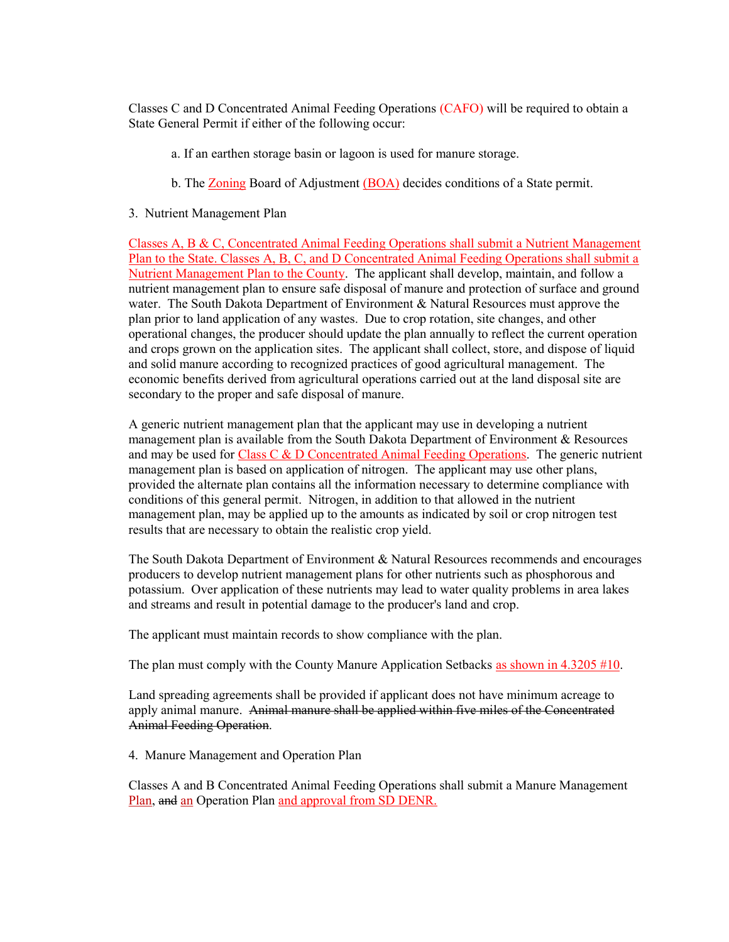Classes C and D Concentrated Animal Feeding Operations (CAFO) will be required to obtain a State General Permit if either of the following occur:

- a. If an earthen storage basin or lagoon is used for manure storage.
- b. The Zoning Board of Adjustment (BOA) decides conditions of a State permit.
- 3. Nutrient Management Plan

Classes A, B & C, Concentrated Animal Feeding Operations shall submit a Nutrient Management Plan to the State. Classes A, B, C, and D Concentrated Animal Feeding Operations shall submit a Nutrient Management Plan to the County. The applicant shall develop, maintain, and follow a nutrient management plan to ensure safe disposal of manure and protection of surface and ground water. The South Dakota Department of Environment & Natural Resources must approve the plan prior to land application of any wastes. Due to crop rotation, site changes, and other operational changes, the producer should update the plan annually to reflect the current operation and crops grown on the application sites. The applicant shall collect, store, and dispose of liquid and solid manure according to recognized practices of good agricultural management. The economic benefits derived from agricultural operations carried out at the land disposal site are secondary to the proper and safe disposal of manure.

A generic nutrient management plan that the applicant may use in developing a nutrient management plan is available from the South Dakota Department of Environment & Resources and may be used for Class C  $\&$  D Concentrated Animal Feeding Operations. The generic nutrient management plan is based on application of nitrogen. The applicant may use other plans, provided the alternate plan contains all the information necessary to determine compliance with conditions of this general permit. Nitrogen, in addition to that allowed in the nutrient management plan, may be applied up to the amounts as indicated by soil or crop nitrogen test results that are necessary to obtain the realistic crop yield.

The South Dakota Department of Environment & Natural Resources recommends and encourages producers to develop nutrient management plans for other nutrients such as phosphorous and potassium. Over application of these nutrients may lead to water quality problems in area lakes and streams and result in potential damage to the producer's land and crop.

The applicant must maintain records to show compliance with the plan.

The plan must comply with the County Manure Application Setbacks as shown in 4.3205 #10.

Land spreading agreements shall be provided if applicant does not have minimum acreage to apply animal manure. Animal manure shall be applied within five miles of the Concentrated Animal Feeding Operation.

4. Manure Management and Operation Plan

Classes A and B Concentrated Animal Feeding Operations shall submit a Manure Management Plan, and an Operation Plan and approval from SD DENR.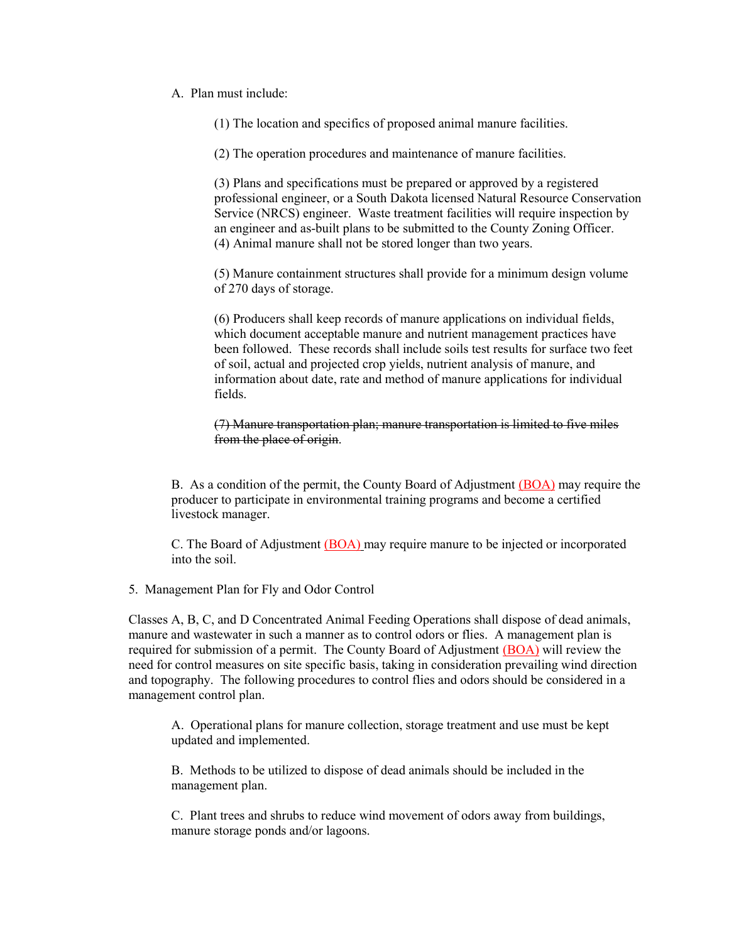A. Plan must include:

(1) The location and specifics of proposed animal manure facilities.

(2) The operation procedures and maintenance of manure facilities.

(3) Plans and specifications must be prepared or approved by a registered professional engineer, or a South Dakota licensed Natural Resource Conservation Service (NRCS) engineer. Waste treatment facilities will require inspection by an engineer and as-built plans to be submitted to the County Zoning Officer. (4) Animal manure shall not be stored longer than two years.

(5) Manure containment structures shall provide for a minimum design volume of 270 days of storage.

(6) Producers shall keep records of manure applications on individual fields, which document acceptable manure and nutrient management practices have been followed. These records shall include soils test results for surface two feet of soil, actual and projected crop yields, nutrient analysis of manure, and information about date, rate and method of manure applications for individual fields.

(7) Manure transportation plan; manure transportation is limited to five miles from the place of origin.

B. As a condition of the permit, the County Board of Adjustment (BOA) may require the producer to participate in environmental training programs and become a certified livestock manager.

C. The Board of Adjustment (BOA) may require manure to be injected or incorporated into the soil.

5. Management Plan for Fly and Odor Control

Classes A, B, C, and D Concentrated Animal Feeding Operations shall dispose of dead animals, manure and wastewater in such a manner as to control odors or flies. A management plan is required for submission of a permit. The County Board of Adjustment (BOA) will review the need for control measures on site specific basis, taking in consideration prevailing wind direction and topography. The following procedures to control flies and odors should be considered in a management control plan.

A. Operational plans for manure collection, storage treatment and use must be kept updated and implemented.

B. Methods to be utilized to dispose of dead animals should be included in the management plan.

C. Plant trees and shrubs to reduce wind movement of odors away from buildings, manure storage ponds and/or lagoons.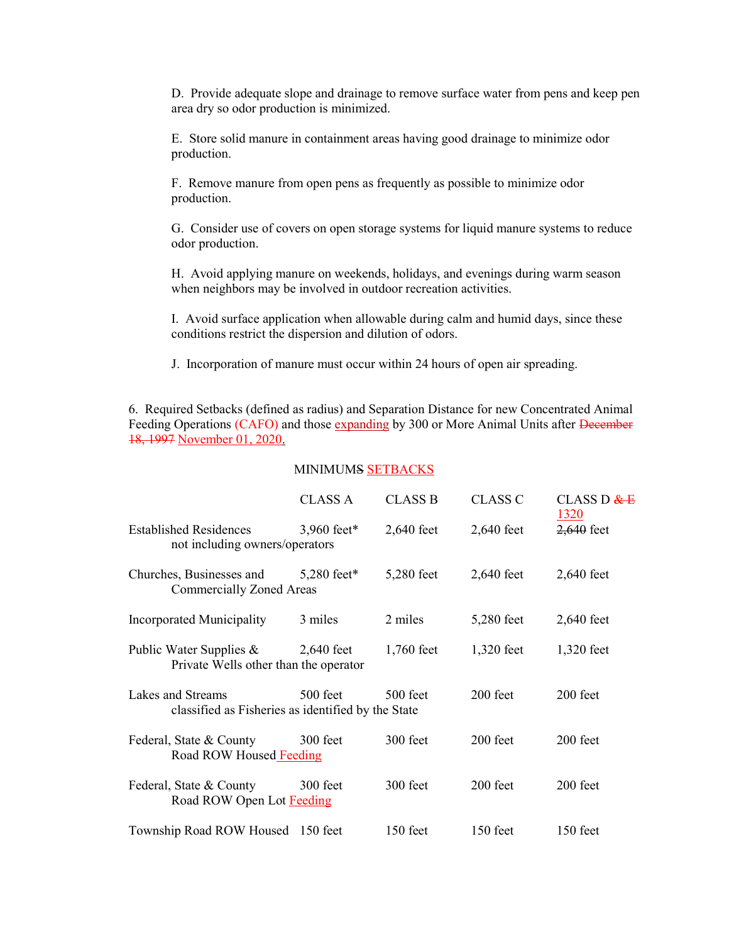D. Provide adequate slope and drainage to remove surface water from pens and keep pen area dry so odor production is minimized.

E. Store solid manure in containment areas having good drainage to minimize odor production.

F. Remove manure from open pens as frequently as possible to minimize odor production.

G. Consider use of covers on open storage systems for liquid manure systems to reduce odor production.

H. Avoid applying manure on weekends, holidays, and evenings during warm season when neighbors may be involved in outdoor recreation activities.

I. Avoid surface application when allowable during calm and humid days, since these conditions restrict the dispersion and dilution of odors.

J. Incorporation of manure must occur within 24 hours of open air spreading.

6. Required Setbacks (defined as radius) and Separation Distance for new Concentrated Animal Feeding Operations (CAFO) and those expanding by 300 or More Animal Units after December 18, 1997 November 01, 2020.

### MINIMUMS SETBACKS

|                                                                         | <b>CLASS A</b> | <b>CLASS B</b> | <b>CLASS C</b> | CLASS D $E$<br>1320 |
|-------------------------------------------------------------------------|----------------|----------------|----------------|---------------------|
| <b>Established Residences</b><br>not including owners/operators         | 3,960 feet*    | $2,640$ feet   | $2,640$ feet   | 2,640 feet          |
| Churches, Businesses and<br><b>Commercially Zoned Areas</b>             | 5,280 feet*    | 5,280 feet     | $2,640$ feet   | 2,640 feet          |
| Incorporated Municipality                                               | 3 miles        | 2 miles        | 5,280 feet     | 2,640 feet          |
| Public Water Supplies &<br>Private Wells other than the operator        | $2,640$ feet   | 1,760 feet     | 1,320 feet     | 1,320 feet          |
| Lakes and Streams<br>classified as Fisheries as identified by the State | 500 feet       | 500 feet       | 200 feet       | 200 feet            |
| Federal, State & County<br>Road ROW Housed Feeding                      | 300 feet       | 300 feet       | 200 feet       | 200 feet            |
| Federal, State & County<br>Road ROW Open Lot Feeding                    | 300 feet       | 300 feet       | 200 feet       | 200 feet            |
| Township Road ROW Housed 150 feet                                       |                | 150 feet       | $150$ feet     | 150 feet            |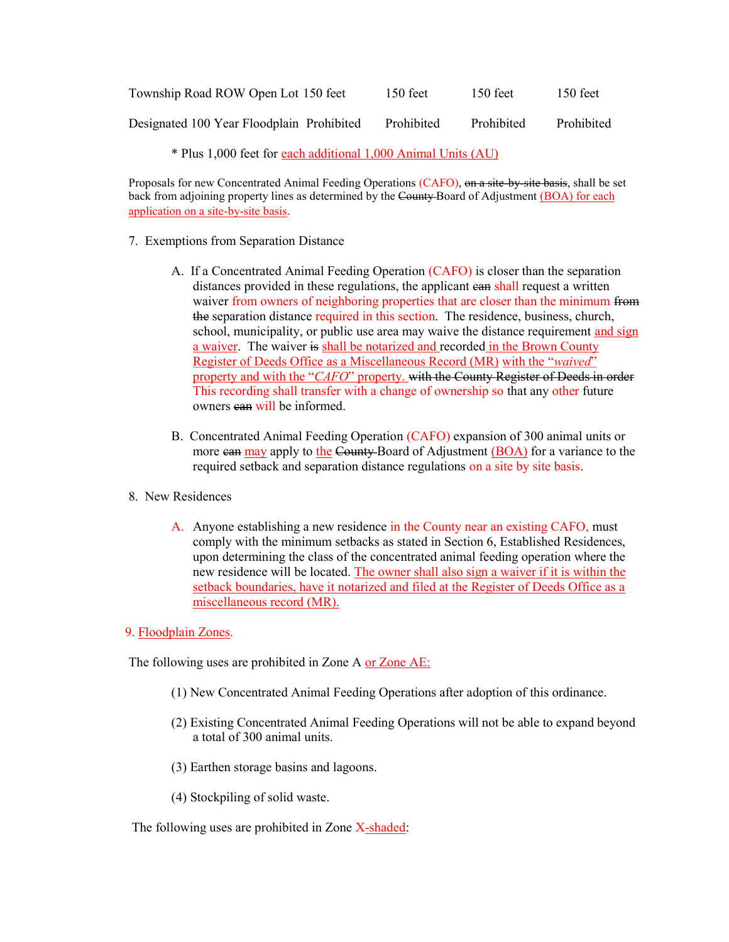| Township Road ROW Open Lot 150 feet       | $150$ feet | $150$ feet | $150$ feet |
|-------------------------------------------|------------|------------|------------|
| Designated 100 Year Floodplain Prohibited | Prohibited | Prohibited | Prohibited |

\* Plus 1,000 feet for each additional 1,000 Animal Units (AU)

Proposals for new Concentrated Animal Feeding Operations (CAFO), on a site by site basis, shall be set back from adjoining property lines as determined by the County Board of Adjustment (BOA) for each application on a site-by-site basis.

# 7. Exemptions from Separation Distance

- A. If a Concentrated Animal Feeding Operation (CAFO) is closer than the separation distances provided in these regulations, the applicant ean shall request a written waiver from owners of neighboring properties that are closer than the minimum from the separation distance required in this section. The residence, business, church, school, municipality, or public use area may waive the distance requirement and sign a waiver. The waiver is shall be notarized and recorded in the Brown County Register of Deeds Office as a Miscellaneous Record (MR) with the "waived" property and with the "CAFO" property. with the County Register of Deeds in order This recording shall transfer with a change of ownership so that any other future owners ean will be informed.
- B. Concentrated Animal Feeding Operation (CAFO) expansion of 300 animal units or more ean may apply to the County-Board of Adjustment (BOA) for a variance to the required setback and separation distance regulations on a site by site basis.
- 8. New Residences
	- A. Anyone establishing a new residence in the County near an existing CAFO, must comply with the minimum setbacks as stated in Section 6, Established Residences, upon determining the class of the concentrated animal feeding operation where the new residence will be located. The owner shall also sign a waiver if it is within the setback boundaries, have it notarized and filed at the Register of Deeds Office as a miscellaneous record (MR).
- 9. Floodplain Zones.

The following uses are prohibited in Zone A or Zone AE:

- (1) New Concentrated Animal Feeding Operations after adoption of this ordinance.
- (2) Existing Concentrated Animal Feeding Operations will not be able to expand beyond a total of 300 animal units.
- (3) Earthen storage basins and lagoons.
- (4) Stockpiling of solid waste.

The following uses are prohibited in Zone X-shaded: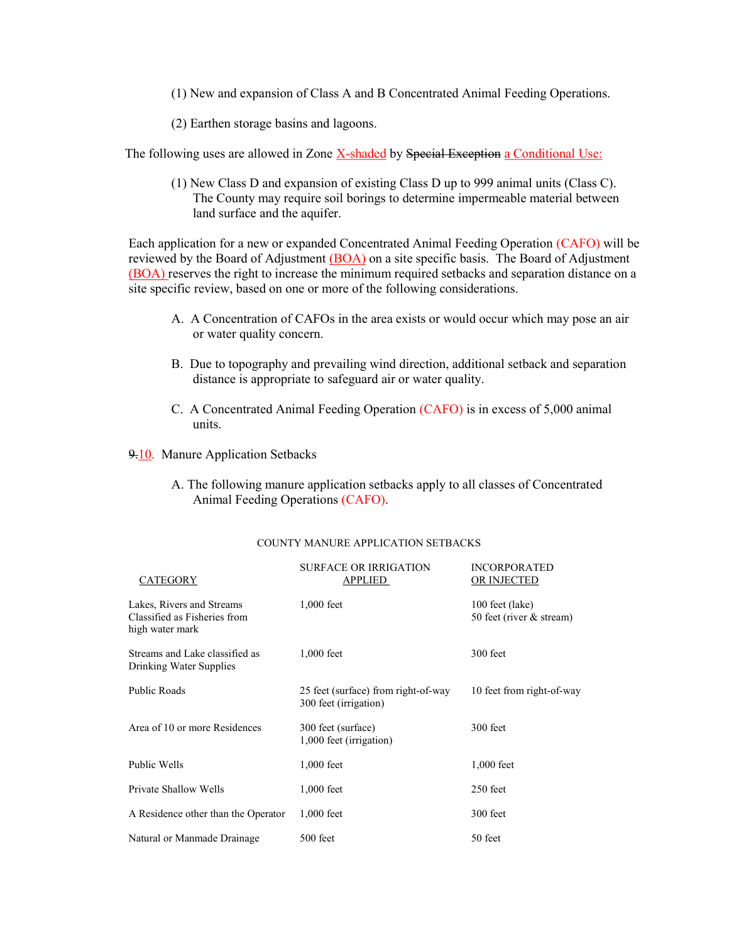- (1) New and expansion of Class A and B Concentrated Animal Feeding Operations.
- (2) Earthen storage basins and lagoons.

The following uses are allowed in Zone X-shaded by Special Exception a Conditional Use:

(1) New Class D and expansion of existing Class D up to 999 animal units (Class C). The County may require soil borings to determine impermeable material between land surface and the aquifer.

Each application for a new or expanded Concentrated Animal Feeding Operation (CAFO) will be reviewed by the Board of Adjustment (BOA) on a site specific basis. The Board of Adjustment (BOA) reserves the right to increase the minimum required setbacks and separation distance on a site specific review, based on one or more of the following considerations.

- A. A Concentration of CAFOs in the area exists or would occur which may pose an air or water quality concern.
- B. Due to topography and prevailing wind direction, additional setback and separation distance is appropriate to safeguard air or water quality.
- C. A Concentrated Animal Feeding Operation (CAFO) is in excess of 5,000 animal units.

9.10. Manure Application Setbacks

A. The following manure application setbacks apply to all classes of Concentrated Animal Feeding Operations (CAFO).

| CATEGORY                                                                     | <b>SURFACE OR IRRIGATION</b><br>APPLIED                      | <b>INCORPORATED</b><br>OR INJECTED          |
|------------------------------------------------------------------------------|--------------------------------------------------------------|---------------------------------------------|
| Lakes, Rivers and Streams<br>Classified as Fisheries from<br>high water mark | $1,000$ feet                                                 | 100 feet (lake)<br>50 feet (river & stream) |
| Streams and Lake classified as<br>Drinking Water Supplies                    | $1,000$ feet                                                 | 300 feet                                    |
| Public Roads                                                                 | 25 feet (surface) from right-of-way<br>300 feet (irrigation) | 10 feet from right-of-way                   |
| Area of 10 or more Residences                                                | 300 feet (surface)<br>1,000 feet (irrigation)                | $300$ feet                                  |
| Public Wells                                                                 | $1,000$ feet                                                 | $1,000$ feet                                |
| Private Shallow Wells                                                        | $1,000$ feet                                                 | $250$ feet                                  |
| A Residence other than the Operator                                          | $1,000$ feet                                                 | 300 feet                                    |
| Natural or Manmade Drainage                                                  | 500 feet                                                     | 50 feet                                     |

#### COUNTY MANURE APPLICATION SETBACKS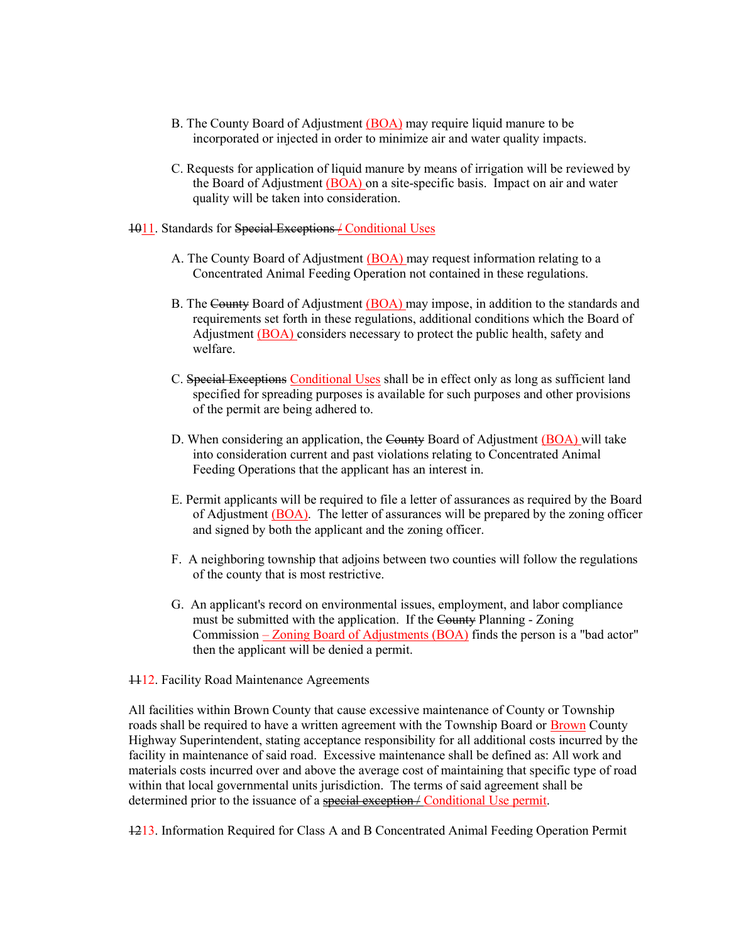- B. The County Board of Adjustment (BOA) may require liquid manure to be incorporated or injected in order to minimize air and water quality impacts.
- C. Requests for application of liquid manure by means of irrigation will be reviewed by the Board of Adjustment (BOA) on a site-specific basis. Impact on air and water quality will be taken into consideration.
- 1011. Standards for Special Exceptions / Conditional Uses
	- A. The County Board of Adjustment (BOA) may request information relating to a Concentrated Animal Feeding Operation not contained in these regulations.
	- B. The County Board of Adjustment (BOA) may impose, in addition to the standards and requirements set forth in these regulations, additional conditions which the Board of Adjustment (BOA) considers necessary to protect the public health, safety and welfare.
	- C. Special Exceptions Conditional Uses shall be in effect only as long as sufficient land specified for spreading purposes is available for such purposes and other provisions of the permit are being adhered to.
	- D. When considering an application, the County Board of Adjustment (BOA) will take into consideration current and past violations relating to Concentrated Animal Feeding Operations that the applicant has an interest in.
	- E. Permit applicants will be required to file a letter of assurances as required by the Board of Adjustment (BOA). The letter of assurances will be prepared by the zoning officer and signed by both the applicant and the zoning officer.
	- F. A neighboring township that adjoins between two counties will follow the regulations of the county that is most restrictive.
	- G. An applicant's record on environmental issues, employment, and labor compliance must be submitted with the application. If the County Planning - Zoning Commission – Zoning Board of Adjustments (BOA) finds the person is a "bad actor" then the applicant will be denied a permit.
- **1112.** Facility Road Maintenance Agreements

All facilities within Brown County that cause excessive maintenance of County or Township roads shall be required to have a written agreement with the Township Board or Brown County Highway Superintendent, stating acceptance responsibility for all additional costs incurred by the facility in maintenance of said road. Excessive maintenance shall be defined as: All work and materials costs incurred over and above the average cost of maintaining that specific type of road within that local governmental units jurisdiction. The terms of said agreement shall be determined prior to the issuance of a special exception / Conditional Use permit.

1213. Information Required for Class A and B Concentrated Animal Feeding Operation Permit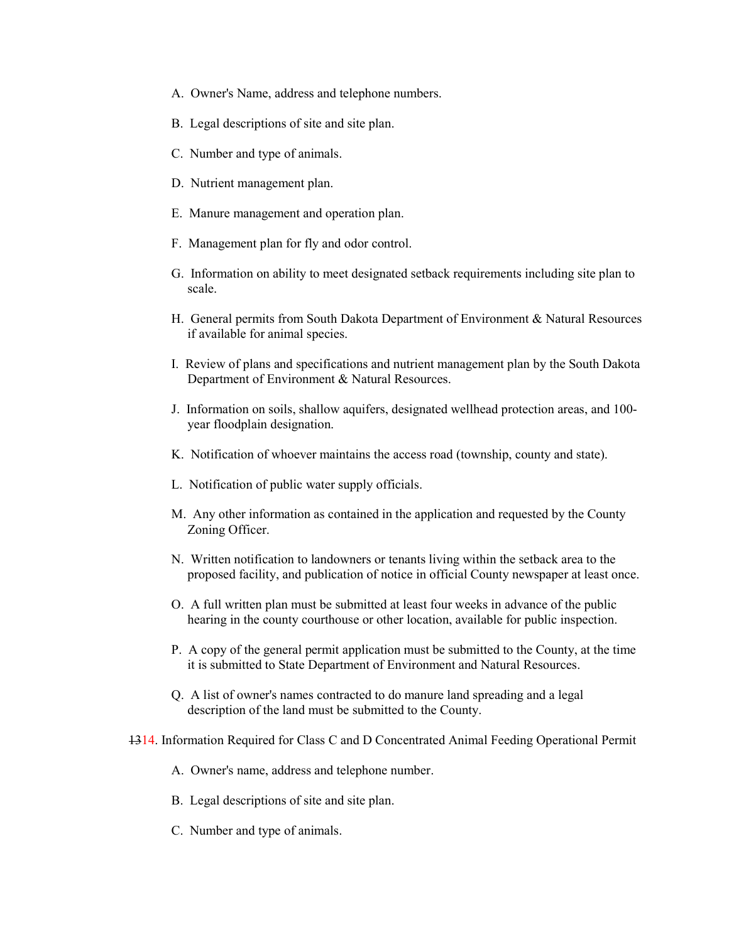- A. Owner's Name, address and telephone numbers.
- B. Legal descriptions of site and site plan.
- C. Number and type of animals.
- D. Nutrient management plan.
- E. Manure management and operation plan.
- F. Management plan for fly and odor control.
- G. Information on ability to meet designated setback requirements including site plan to scale.
- H. General permits from South Dakota Department of Environment & Natural Resources if available for animal species.
- I. Review of plans and specifications and nutrient management plan by the South Dakota Department of Environment & Natural Resources.
- J. Information on soils, shallow aquifers, designated wellhead protection areas, and 100 year floodplain designation.
- K. Notification of whoever maintains the access road (township, county and state).
- L. Notification of public water supply officials.
- M. Any other information as contained in the application and requested by the County Zoning Officer.
- N. Written notification to landowners or tenants living within the setback area to the proposed facility, and publication of notice in official County newspaper at least once.
- O. A full written plan must be submitted at least four weeks in advance of the public hearing in the county courthouse or other location, available for public inspection.
- P. A copy of the general permit application must be submitted to the County, at the time it is submitted to State Department of Environment and Natural Resources.
- Q. A list of owner's names contracted to do manure land spreading and a legal description of the land must be submitted to the County.
- 1314. Information Required for Class C and D Concentrated Animal Feeding Operational Permit
	- A. Owner's name, address and telephone number.
	- B. Legal descriptions of site and site plan.
	- C. Number and type of animals.